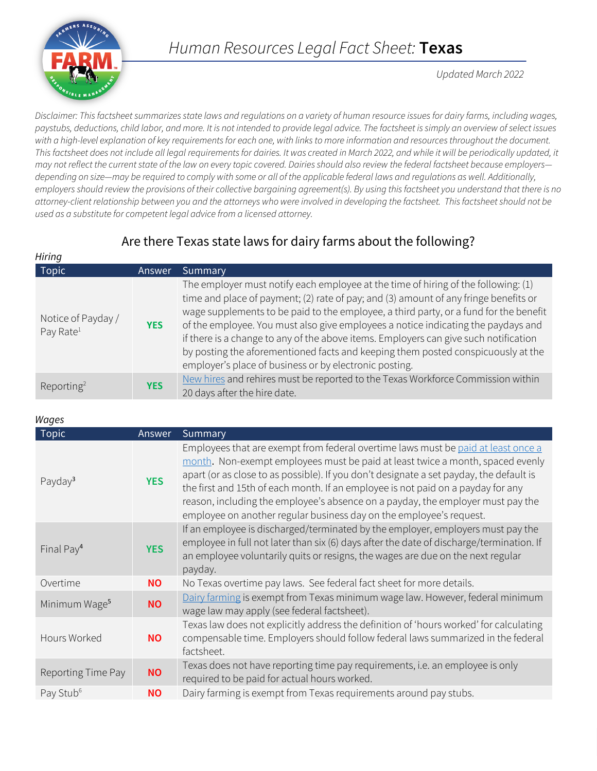

*Updated March 2022*

*Disclaimer: This factsheet summarizes state laws and regulations on a variety of human resource issues for dairy farms, including wages, paystubs, deductions, child labor, and more. It is not intended to provide legal advice. The factsheet is simply an overview of select issues with a high-level explanation of key requirements for each one, with links to more information and resources throughout the document.*  This factsheet does not include all legal requirements for dairies. It was created in March 2022, and while it will be periodically updated, it *may not reflect the current state of the law on every topic covered. Dairies should also review the federal factsheet because employers depending on size—may be required to comply with some or all of the applicable federal laws and regulations as well. Additionally, employers should review the provisions of their collective bargaining agreement(s). By using this factsheet you understand that there is no attorney-client relationship between you and the attorneys who were involved in developing the factsheet. This factsheet should not be used as a substitute for competent legal advice from a licensed attorney.*

## Are there Texas state laws for dairy farms about the following?

| Hiring                                      |            |                                                                                                                                                                                                                                                                                                                                                                                                                                                                                                                                                                                                |
|---------------------------------------------|------------|------------------------------------------------------------------------------------------------------------------------------------------------------------------------------------------------------------------------------------------------------------------------------------------------------------------------------------------------------------------------------------------------------------------------------------------------------------------------------------------------------------------------------------------------------------------------------------------------|
| Topic                                       | Answer     | Summary                                                                                                                                                                                                                                                                                                                                                                                                                                                                                                                                                                                        |
| Notice of Payday /<br>Pay Rate <sup>1</sup> | <b>YES</b> | The employer must notify each employee at the time of hiring of the following: (1)<br>time and place of payment; (2) rate of pay; and (3) amount of any fringe benefits or<br>wage supplements to be paid to the employee, a third party, or a fund for the benefit<br>of the employee. You must also give employees a notice indicating the paydays and<br>if there is a change to any of the above items. Employers can give such notification<br>by posting the aforementioned facts and keeping them posted conspicuously at the<br>employer's place of business or by electronic posting. |
| Reporting <sup>2</sup>                      | <b>YES</b> | New hires and rehires must be reported to the Texas Workforce Commission within<br>20 days after the hire date.                                                                                                                                                                                                                                                                                                                                                                                                                                                                                |

*Wages*

| 1950                      |            |                                                                                                                                                                                                                                                                                                                                                                                                                                                                                                              |
|---------------------------|------------|--------------------------------------------------------------------------------------------------------------------------------------------------------------------------------------------------------------------------------------------------------------------------------------------------------------------------------------------------------------------------------------------------------------------------------------------------------------------------------------------------------------|
| <b>Topic</b>              | Answer     | Summary                                                                                                                                                                                                                                                                                                                                                                                                                                                                                                      |
| Payday <sup>3</sup>       | <b>YES</b> | Employees that are exempt from federal overtime laws must be paid at least once a<br>month. Non-exempt employees must be paid at least twice a month, spaced evenly<br>apart (or as close to as possible). If you don't designate a set payday, the default is<br>the first and 15th of each month. If an employee is not paid on a payday for any<br>reason, including the employee's absence on a payday, the employer must pay the<br>employee on another regular business day on the employee's request. |
| Final Pay <sup>4</sup>    | <b>YES</b> | If an employee is discharged/terminated by the employer, employers must pay the<br>employee in full not later than six (6) days after the date of discharge/termination. If<br>an employee voluntarily quits or resigns, the wages are due on the next regular<br>payday.                                                                                                                                                                                                                                    |
| Overtime                  | NO.        | No Texas overtime pay laws. See federal fact sheet for more details.                                                                                                                                                                                                                                                                                                                                                                                                                                         |
| Minimum Wage <sup>5</sup> | <b>NO</b>  | Dairy farming is exempt from Texas minimum wage law. However, federal minimum<br>wage law may apply (see federal factsheet).                                                                                                                                                                                                                                                                                                                                                                                 |
| Hours Worked              | <b>NO</b>  | Texas law does not explicitly address the definition of 'hours worked' for calculating<br>compensable time. Employers should follow federal laws summarized in the federal<br>factsheet.                                                                                                                                                                                                                                                                                                                     |
| Reporting Time Pay        | <b>NO</b>  | Texas does not have reporting time pay requirements, i.e. an employee is only<br>required to be paid for actual hours worked.                                                                                                                                                                                                                                                                                                                                                                                |
| Pay Stub <sup>6</sup>     | <b>NO</b>  | Dairy farming is exempt from Texas requirements around pay stubs.                                                                                                                                                                                                                                                                                                                                                                                                                                            |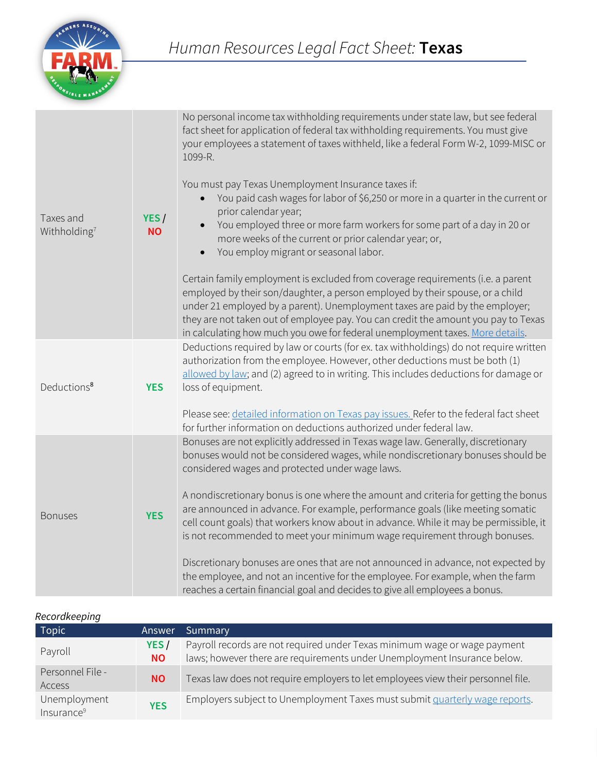

| Taxes and<br>Withholding <sup>7</sup> | YES/<br><b>NO</b> | No personal income tax withholding requirements under state law, but see federal<br>fact sheet for application of federal tax withholding requirements. You must give<br>your employees a statement of taxes withheld, like a federal Form W-2, 1099-MISC or<br>1099-R.<br>You must pay Texas Unemployment Insurance taxes if:<br>You paid cash wages for labor of \$6,250 or more in a quarter in the current or<br>prior calendar year;<br>You employed three or more farm workers for some part of a day in 20 or<br>$\bullet$<br>more weeks of the current or prior calendar year; or,<br>You employ migrant or seasonal labor.<br>$\bullet$<br>Certain family employment is excluded from coverage requirements (i.e. a parent<br>employed by their son/daughter, a person employed by their spouse, or a child<br>under 21 employed by a parent). Unemployment taxes are paid by the employer;<br>they are not taken out of employee pay. You can credit the amount you pay to Texas<br>in calculating how much you owe for federal unemployment taxes. More details. |
|---------------------------------------|-------------------|-----------------------------------------------------------------------------------------------------------------------------------------------------------------------------------------------------------------------------------------------------------------------------------------------------------------------------------------------------------------------------------------------------------------------------------------------------------------------------------------------------------------------------------------------------------------------------------------------------------------------------------------------------------------------------------------------------------------------------------------------------------------------------------------------------------------------------------------------------------------------------------------------------------------------------------------------------------------------------------------------------------------------------------------------------------------------------|
| Deductions <sup>8</sup>               | <b>YES</b>        | Deductions required by law or courts (for ex. tax withholdings) do not require written<br>authorization from the employee. However, other deductions must be both (1)<br>allowed by law; and (2) agreed to in writing. This includes deductions for damage or<br>loss of equipment.<br>Please see: detailed information on Texas pay issues. Refer to the federal fact sheet                                                                                                                                                                                                                                                                                                                                                                                                                                                                                                                                                                                                                                                                                                |
|                                       |                   | for further information on deductions authorized under federal law.<br>Bonuses are not explicitly addressed in Texas wage law. Generally, discretionary                                                                                                                                                                                                                                                                                                                                                                                                                                                                                                                                                                                                                                                                                                                                                                                                                                                                                                                     |
| <b>Bonuses</b>                        | <b>YES</b>        | bonuses would not be considered wages, while nondiscretionary bonuses should be<br>considered wages and protected under wage laws.<br>A nondiscretionary bonus is one where the amount and criteria for getting the bonus<br>are announced in advance. For example, performance goals (like meeting somatic<br>cell count goals) that workers know about in advance. While it may be permissible, it<br>is not recommended to meet your minimum wage requirement through bonuses.                                                                                                                                                                                                                                                                                                                                                                                                                                                                                                                                                                                           |
|                                       |                   | Discretionary bonuses are ones that are not announced in advance, not expected by<br>the employee, and not an incentive for the employee. For example, when the farm<br>reaches a certain financial goal and decides to give all employees a bonus.                                                                                                                                                                                                                                                                                                                                                                                                                                                                                                                                                                                                                                                                                                                                                                                                                         |

| Recordkeeping |
|---------------|
|---------------|

| <b>Topic</b>                           | Answer            | Summary                                                                                                                                               |
|----------------------------------------|-------------------|-------------------------------------------------------------------------------------------------------------------------------------------------------|
| Payroll                                | YES/<br><b>NO</b> | Payroll records are not required under Texas minimum wage or wage payment<br>laws; however there are requirements under Unemployment Insurance below. |
| Personnel File -<br>Access             | <b>NO</b>         | Texas law does not require employers to let employees view their personnel file.                                                                      |
| Unemployment<br>Insurance <sup>9</sup> | <b>YES</b>        | Employers subject to Unemployment Taxes must submit quarterly wage reports.                                                                           |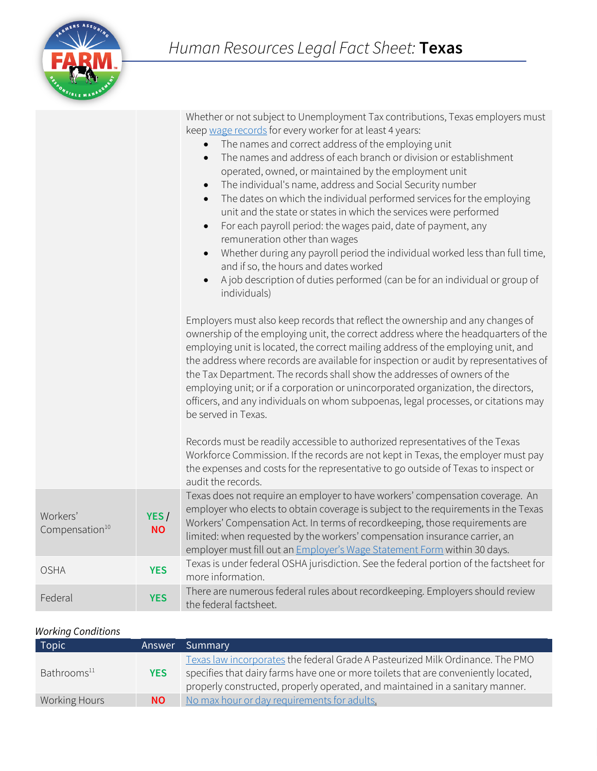|                                        |                   | Whether or not subject to Unemployment Tax contributions, Texas employers must<br>keep wage records for every worker for at least 4 years:<br>The names and correct address of the employing unit<br>The names and address of each branch or division or establishment<br>$\bullet$<br>operated, owned, or maintained by the employment unit<br>The individual's name, address and Social Security number<br>$\bullet$<br>The dates on which the individual performed services for the employing<br>$\bullet$<br>unit and the state or states in which the services were performed<br>For each payroll period: the wages paid, date of payment, any<br>$\bullet$<br>remuneration other than wages<br>Whether during any payroll period the individual worked less than full time,<br>$\bullet$<br>and if so, the hours and dates worked<br>A job description of duties performed (can be for an individual or group of<br>$\bullet$<br>individuals)<br>Employers must also keep records that reflect the ownership and any changes of<br>ownership of the employing unit, the correct address where the headquarters of the<br>employing unit is located, the correct mailing address of the employing unit, and<br>the address where records are available for inspection or audit by representatives of<br>the Tax Department. The records shall show the addresses of owners of the<br>employing unit; or if a corporation or unincorporated organization, the directors,<br>officers, and any individuals on whom subpoenas, legal processes, or citations may<br>be served in Texas.<br>Records must be readily accessible to authorized representatives of the Texas<br>Workforce Commission. If the records are not kept in Texas, the employer must pay |
|----------------------------------------|-------------------|-----------------------------------------------------------------------------------------------------------------------------------------------------------------------------------------------------------------------------------------------------------------------------------------------------------------------------------------------------------------------------------------------------------------------------------------------------------------------------------------------------------------------------------------------------------------------------------------------------------------------------------------------------------------------------------------------------------------------------------------------------------------------------------------------------------------------------------------------------------------------------------------------------------------------------------------------------------------------------------------------------------------------------------------------------------------------------------------------------------------------------------------------------------------------------------------------------------------------------------------------------------------------------------------------------------------------------------------------------------------------------------------------------------------------------------------------------------------------------------------------------------------------------------------------------------------------------------------------------------------------------------------------------------------------------------------------------------------------------------------------------------------|
|                                        |                   | the expenses and costs for the representative to go outside of Texas to inspect or<br>audit the records.                                                                                                                                                                                                                                                                                                                                                                                                                                                                                                                                                                                                                                                                                                                                                                                                                                                                                                                                                                                                                                                                                                                                                                                                                                                                                                                                                                                                                                                                                                                                                                                                                                                        |
| Workers'<br>Compensation <sup>10</sup> | YES/<br><b>NO</b> | Texas does not require an employer to have workers' compensation coverage. An<br>employer who elects to obtain coverage is subject to the requirements in the Texas<br>Workers' Compensation Act. In terms of recordkeeping, those requirements are<br>limited: when requested by the workers' compensation insurance carrier, an<br>employer must fill out an <i>Employer's Wage Statement Form</i> within 30 days.                                                                                                                                                                                                                                                                                                                                                                                                                                                                                                                                                                                                                                                                                                                                                                                                                                                                                                                                                                                                                                                                                                                                                                                                                                                                                                                                            |
| <b>OSHA</b>                            | <b>YES</b>        | Texas is under federal OSHA jurisdiction. See the federal portion of the factsheet for<br>more information.                                                                                                                                                                                                                                                                                                                                                                                                                                                                                                                                                                                                                                                                                                                                                                                                                                                                                                                                                                                                                                                                                                                                                                                                                                                                                                                                                                                                                                                                                                                                                                                                                                                     |
| Federal                                | <b>YES</b>        | There are numerous federal rules about recordkeeping. Employers should review<br>the federal factsheet.                                                                                                                                                                                                                                                                                                                                                                                                                                                                                                                                                                                                                                                                                                                                                                                                                                                                                                                                                                                                                                                                                                                                                                                                                                                                                                                                                                                                                                                                                                                                                                                                                                                         |

## *Working Conditions*

| <b>Topic</b>            |            | Answer Summary                                                                                                                                                                                                                                        |
|-------------------------|------------|-------------------------------------------------------------------------------------------------------------------------------------------------------------------------------------------------------------------------------------------------------|
| Bathrooms <sup>11</sup> | <b>YES</b> | Texas law incorporates the federal Grade A Pasteurized Milk Ordinance. The PMO<br>specifies that dairy farms have one or more toilets that are conveniently located,<br>properly constructed, properly operated, and maintained in a sanitary manner. |
| Working Hours           | <b>NO</b>  | No max hour or day requirements for adults.                                                                                                                                                                                                           |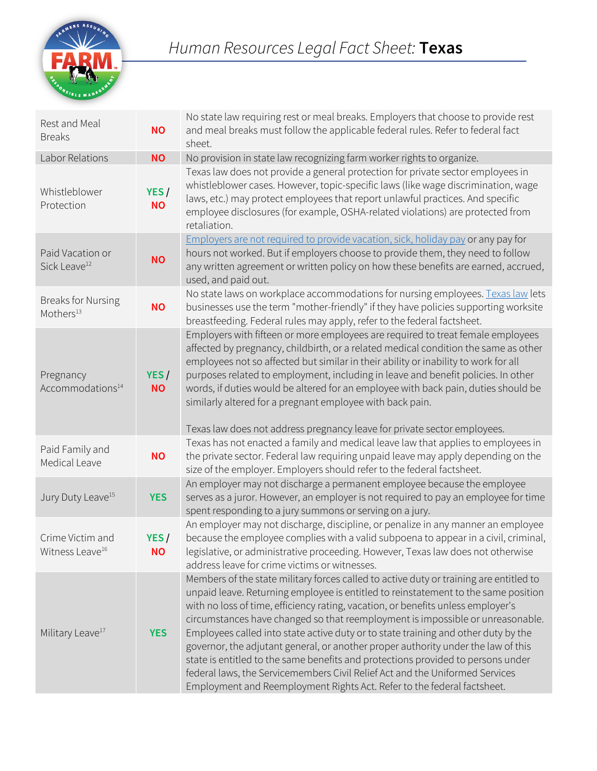

| Rest and Meal<br><b>Breaks</b>                     | <b>NO</b>         | No state law requiring rest or meal breaks. Employers that choose to provide rest<br>and meal breaks must follow the applicable federal rules. Refer to federal fact<br>sheet.                                                                                                                                                                                                                                                                                                                                                                                                                                                                                                                                                                                               |
|----------------------------------------------------|-------------------|------------------------------------------------------------------------------------------------------------------------------------------------------------------------------------------------------------------------------------------------------------------------------------------------------------------------------------------------------------------------------------------------------------------------------------------------------------------------------------------------------------------------------------------------------------------------------------------------------------------------------------------------------------------------------------------------------------------------------------------------------------------------------|
| Labor Relations                                    | <b>NO</b>         | No provision in state law recognizing farm worker rights to organize.                                                                                                                                                                                                                                                                                                                                                                                                                                                                                                                                                                                                                                                                                                        |
| Whistleblower<br>Protection                        | YES/<br><b>NO</b> | Texas law does not provide a general protection for private sector employees in<br>whistleblower cases. However, topic-specific laws (like wage discrimination, wage<br>laws, etc.) may protect employees that report unlawful practices. And specific<br>employee disclosures (for example, OSHA-related violations) are protected from<br>retaliation.                                                                                                                                                                                                                                                                                                                                                                                                                     |
| Paid Vacation or<br>Sick Leave <sup>12</sup>       | <b>NO</b>         | Employers are not required to provide vacation, sick, holiday pay or any pay for<br>hours not worked. But if employers choose to provide them, they need to follow<br>any written agreement or written policy on how these benefits are earned, accrued,<br>used, and paid out.                                                                                                                                                                                                                                                                                                                                                                                                                                                                                              |
| <b>Breaks for Nursing</b><br>Mothers <sup>13</sup> | <b>NO</b>         | No state laws on workplace accommodations for nursing employees. Texas law lets<br>businesses use the term "mother-friendly" if they have policies supporting worksite<br>breastfeeding. Federal rules may apply, refer to the federal factsheet.                                                                                                                                                                                                                                                                                                                                                                                                                                                                                                                            |
| Pregnancy<br>Accommodations <sup>14</sup>          | YES/<br><b>NO</b> | Employers with fifteen or more employees are required to treat female employees<br>affected by pregnancy, childbirth, or a related medical condition the same as other<br>employees not so affected but similar in their ability or inability to work for all<br>purposes related to employment, including in leave and benefit policies. In other<br>words, if duties would be altered for an employee with back pain, duties should be<br>similarly altered for a pregnant employee with back pain.<br>Texas law does not address pregnancy leave for private sector employees.                                                                                                                                                                                            |
| Paid Family and<br>Medical Leave                   | <b>NO</b>         | Texas has not enacted a family and medical leave law that applies to employees in<br>the private sector. Federal law requiring unpaid leave may apply depending on the<br>size of the employer. Employers should refer to the federal factsheet.                                                                                                                                                                                                                                                                                                                                                                                                                                                                                                                             |
| Jury Duty Leave <sup>15</sup>                      | <b>YES</b>        | An employer may not discharge a permanent employee because the employee<br>serves as a juror. However, an employer is not required to pay an employee for time<br>spent responding to a jury summons or serving on a jury.                                                                                                                                                                                                                                                                                                                                                                                                                                                                                                                                                   |
| Crime Victim and<br>Witness Leave <sup>16</sup>    | YES/<br><b>NO</b> | An employer may not discharge, discipline, or penalize in any manner an employee<br>because the employee complies with a valid subpoena to appear in a civil, criminal,<br>legislative, or administrative proceeding. However, Texas law does not otherwise<br>address leave for crime victims or witnesses.                                                                                                                                                                                                                                                                                                                                                                                                                                                                 |
| Military Leave <sup>17</sup>                       | <b>YES</b>        | Members of the state military forces called to active duty or training are entitled to<br>unpaid leave. Returning employee is entitled to reinstatement to the same position<br>with no loss of time, efficiency rating, vacation, or benefits unless employer's<br>circumstances have changed so that reemployment is impossible or unreasonable.<br>Employees called into state active duty or to state training and other duty by the<br>governor, the adjutant general, or another proper authority under the law of this<br>state is entitled to the same benefits and protections provided to persons under<br>federal laws, the Servicemembers Civil Relief Act and the Uniformed Services<br>Employment and Reemployment Rights Act. Refer to the federal factsheet. |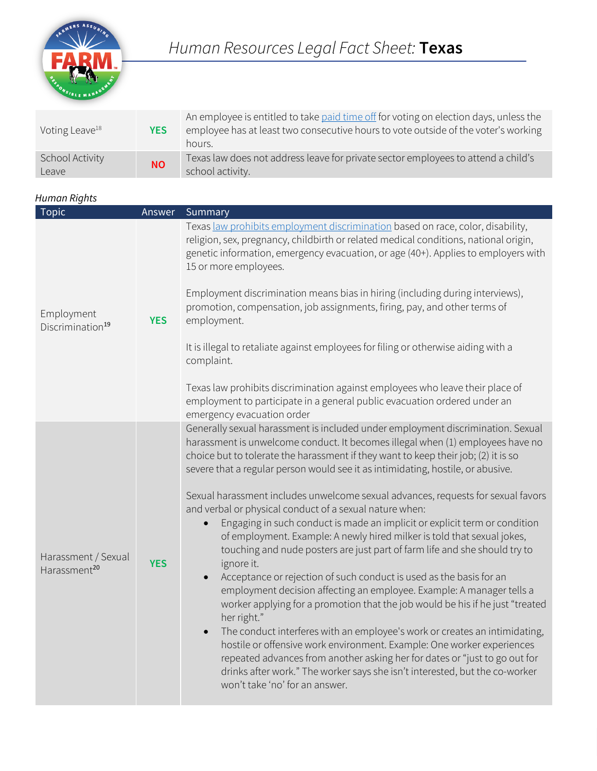

| Voting Leave <sup>18</sup>      | <b>YES</b> | An employee is entitled to take paid time off for voting on election days, unless the<br>employee has at least two consecutive hours to vote outside of the voter's working<br>hours. |
|---------------------------------|------------|---------------------------------------------------------------------------------------------------------------------------------------------------------------------------------------|
| <b>School Activity</b><br>Leave | <b>NO</b>  | Texas law does not address leave for private sector employees to attend a child's<br>school activity.                                                                                 |

## *Human Rights*

| <b>Topic</b>                                    | Answer     | Summary                                                                                                                                                                                                                                                                                                                                                                                                                                                                                                                                                                                                                                                                                                                                                                                                                                                                                                                                                                                                                                                                                                                                                                                                                                                                                                                                                            |
|-------------------------------------------------|------------|--------------------------------------------------------------------------------------------------------------------------------------------------------------------------------------------------------------------------------------------------------------------------------------------------------------------------------------------------------------------------------------------------------------------------------------------------------------------------------------------------------------------------------------------------------------------------------------------------------------------------------------------------------------------------------------------------------------------------------------------------------------------------------------------------------------------------------------------------------------------------------------------------------------------------------------------------------------------------------------------------------------------------------------------------------------------------------------------------------------------------------------------------------------------------------------------------------------------------------------------------------------------------------------------------------------------------------------------------------------------|
| Employment<br>Discrimination <sup>19</sup>      | <b>YES</b> | Texas law prohibits employment discrimination based on race, color, disability,<br>religion, sex, pregnancy, childbirth or related medical conditions, national origin,<br>genetic information, emergency evacuation, or age (40+). Applies to employers with<br>15 or more employees.<br>Employment discrimination means bias in hiring (including during interviews),<br>promotion, compensation, job assignments, firing, pay, and other terms of<br>employment.<br>It is illegal to retaliate against employees for filing or otherwise aiding with a<br>complaint.<br>Texas law prohibits discrimination against employees who leave their place of<br>employment to participate in a general public evacuation ordered under an<br>emergency evacuation order                                                                                                                                                                                                                                                                                                                                                                                                                                                                                                                                                                                                |
| Harassment / Sexual<br>Harassment <sup>20</sup> | <b>YES</b> | Generally sexual harassment is included under employment discrimination. Sexual<br>harassment is unwelcome conduct. It becomes illegal when (1) employees have no<br>choice but to tolerate the harassment if they want to keep their job; (2) it is so<br>severe that a regular person would see it as intimidating, hostile, or abusive.<br>Sexual harassment includes unwelcome sexual advances, requests for sexual favors<br>and verbal or physical conduct of a sexual nature when:<br>Engaging in such conduct is made an implicit or explicit term or condition<br>of employment. Example: A newly hired milker is told that sexual jokes,<br>touching and nude posters are just part of farm life and she should try to<br>ignore it.<br>Acceptance or rejection of such conduct is used as the basis for an<br>employment decision affecting an employee. Example: A manager tells a<br>worker applying for a promotion that the job would be his if he just "treated<br>her right."<br>The conduct interferes with an employee's work or creates an intimidating,<br>$\bullet$<br>hostile or offensive work environment. Example: One worker experiences<br>repeated advances from another asking her for dates or "just to go out for<br>drinks after work." The worker says she isn't interested, but the co-worker<br>won't take 'no' for an answer. |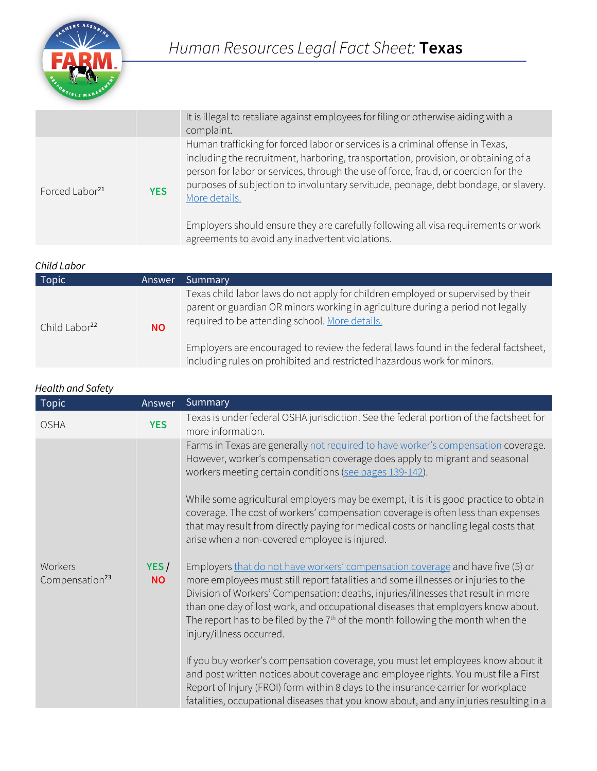

|                            |            | It is illegal to retaliate against employees for filing or otherwise aiding with a<br>complaint.                                                                                                                                                                                                                                                                                                                                                                                                            |
|----------------------------|------------|-------------------------------------------------------------------------------------------------------------------------------------------------------------------------------------------------------------------------------------------------------------------------------------------------------------------------------------------------------------------------------------------------------------------------------------------------------------------------------------------------------------|
| Forced Labor <sup>21</sup> | <b>YES</b> | Human trafficking for forced labor or services is a criminal offense in Texas,<br>including the recruitment, harboring, transportation, provision, or obtaining of a<br>person for labor or services, through the use of force, fraud, or coercion for the<br>purposes of subjection to involuntary servitude, peonage, debt bondage, or slavery.<br>More details.<br>Employers should ensure they are carefully following all visa requirements or work<br>agreements to avoid any inadvertent violations. |

## *Child Labor*

| Topic                     | Answer    | Summary                                                                                                                                                                                                                                                                                                                                                                                 |
|---------------------------|-----------|-----------------------------------------------------------------------------------------------------------------------------------------------------------------------------------------------------------------------------------------------------------------------------------------------------------------------------------------------------------------------------------------|
| Child Labor <sup>22</sup> | <b>NO</b> | Texas child labor laws do not apply for children employed or supervised by their<br>parent or guardian OR minors working in agriculture during a period not legally<br>required to be attending school. More details.<br>Employers are encouraged to review the federal laws found in the federal factsheet,<br>including rules on prohibited and restricted hazardous work for minors. |
|                           |           |                                                                                                                                                                                                                                                                                                                                                                                         |

| <b>Health and Safety</b>              |                   |                                                                                                                                                                                                                                                                                                                                                                                                                                                              |  |
|---------------------------------------|-------------------|--------------------------------------------------------------------------------------------------------------------------------------------------------------------------------------------------------------------------------------------------------------------------------------------------------------------------------------------------------------------------------------------------------------------------------------------------------------|--|
| Topic                                 | Answer            | Summary                                                                                                                                                                                                                                                                                                                                                                                                                                                      |  |
| <b>OSHA</b>                           | <b>YES</b>        | Texas is under federal OSHA jurisdiction. See the federal portion of the factsheet for<br>more information.                                                                                                                                                                                                                                                                                                                                                  |  |
| Workers<br>Compensation <sup>23</sup> |                   | Farms in Texas are generally not required to have worker's compensation coverage.<br>However, worker's compensation coverage does apply to migrant and seasonal<br>workers meeting certain conditions (see pages 139-142).                                                                                                                                                                                                                                   |  |
|                                       | YES/<br><b>NO</b> | While some agricultural employers may be exempt, it is it is good practice to obtain<br>coverage. The cost of workers' compensation coverage is often less than expenses<br>that may result from directly paying for medical costs or handling legal costs that<br>arise when a non-covered employee is injured.                                                                                                                                             |  |
|                                       |                   | Employers that do not have workers' compensation coverage and have five (5) or<br>more employees must still report fatalities and some illnesses or injuries to the<br>Division of Workers' Compensation: deaths, injuries/illnesses that result in more<br>than one day of lost work, and occupational diseases that employers know about.<br>The report has to be filed by the $7th$ of the month following the month when the<br>injury/illness occurred. |  |
|                                       |                   | If you buy worker's compensation coverage, you must let employees know about it<br>and post written notices about coverage and employee rights. You must file a First<br>Report of Injury (FROI) form within 8 days to the insurance carrier for workplace<br>fatalities, occupational diseases that you know about, and any injuries resulting in a                                                                                                         |  |